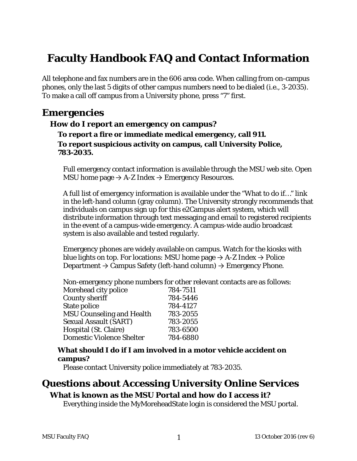# **Faculty Handbook FAQ and Contact Information**

All telephone and fax numbers are in the 606 area code. When calling from on-campus phones, only the last 5 digits of other campus numbers need to be dialed (i.e., 3-2035). To make a call off campus from a University phone, press "7" first.

## **Emergencies**

## **How do I report an emergency on campus? To report a fire or immediate medical emergency, call 911. To report suspicious activity on campus, call University Police, 783-2035.**

Full emergency contact information is available through the MSU web site. Open MSU home page  $\rightarrow$  A-Z Index  $\rightarrow$  Emergency Resources.

A full list of emergency information is available under the "What to do if…" link in the left-hand column (gray column). The University strongly recommends that individuals on campus sign up for this e2Campus alert system, which will distribute information through text messaging and email to registered recipients in the event of a campus-wide emergency. A campus-wide audio broadcast system is also available and tested regularly.

Emergency phones are widely available on campus. Watch for the kiosks with blue lights on top. For locations: MSU home page  $\rightarrow$  A-Z Index  $\rightarrow$  Police Department  $\rightarrow$  Campus Safety (left-hand column)  $\rightarrow$  Emergency Phone.

Non-emergency phone numbers for other relevant contacts are as follows:

| Morehead city police             | 784-7511 |
|----------------------------------|----------|
| <b>County sheriff</b>            | 784-5446 |
| State police                     | 784-4127 |
| <b>MSU Counseling and Health</b> | 783-2055 |
| <b>Sexual Assault (SART)</b>     | 783-2055 |
| Hospital (St. Claire)            | 783-6500 |
| <b>Domestic Violence Shelter</b> | 784-6880 |

## **What should I do if I am involved in a motor vehicle accident on campus?**

Please contact University police immediately at 783-2035.

# **Questions about Accessing University Online Services**

## **What is known as the MSU Portal and how do I access it?**

Everything inside the MyMoreheadState login is considered the MSU portal.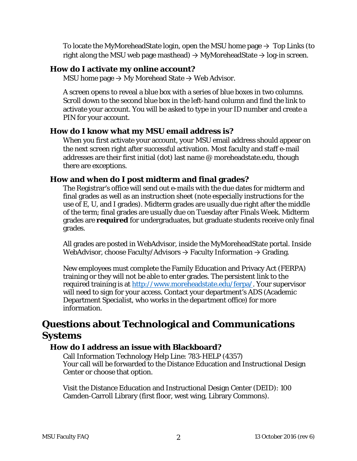To locate the MyMoreheadState login, open the MSU home page  $\rightarrow$  Top Links (to right along the MSU web page masthead)  $\rightarrow$  MyMoreheadState  $\rightarrow$  log-in screen.

#### **How do I activate my online account?**

MSU home page  $\rightarrow$  My Morehead State  $\rightarrow$  Web Advisor.

A screen opens to reveal a blue box with a series of blue boxes in two columns. Scroll down to the second blue box in the left-hand column and find the link to activate your account. You will be asked to type in your ID number and create a PIN for your account.

### **How do I know what my MSU email address is?**

When you first activate your account, your MSU email address should appear on the next screen right after successful activation. Most faculty and staff e-mail addresses are their first initial (dot) last name @ moreheadstate.edu, though there are exceptions.

## **How and when do I post midterm and final grades?**

The Registrar's office will send out e-mails with the due dates for midterm and final grades as well as an instruction sheet (note especially instructions for the use of E, U, and I grades). Midterm grades are usually due right after the middle of the term; final grades are usually due on Tuesday after Finals Week. Midterm grades are **required** for undergraduates, but graduate students receive only final grades.

All grades are posted in WebAdvisor, inside the MyMoreheadState portal. Inside WebAdvisor, choose Faculty/Advisors  $\rightarrow$  Faculty Information  $\rightarrow$  Grading.

New employees must complete the Family Education and Privacy Act (FERPA) training or they will not be able to enter grades. The persistent link to the required training is at [http://www.moreheadstate.edu/ferpa/.](http://www.moreheadstate.edu/ferpa/) Your supervisor will need to sign for your access. Contact your department's ADS (Academic Department Specialist, who works in the department office) for more information.

## **Questions about Technological and Communications Systems**

## **How do I address an issue with Blackboard?**

Call Information Technology Help Line: 783-HELP (4357) Your call will be forwarded to the Distance Education and Instructional Design Center or choose that option.

Visit the Distance Education and Instructional Design Center (DEID): 100 Camden-Carroll Library (first floor, west wing, Library Commons).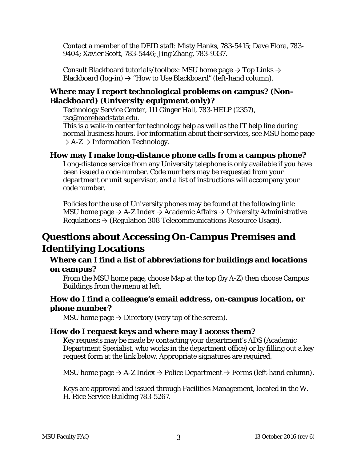Contact a member of the DEID staff: Misty Hanks, 783-5415; Dave Flora, 783- 9404; Xavier Scott, 783-5446; Jing Zhang, 783-9337.

Consult Blackboard tutorials/toolbox: MSU home page  $\rightarrow$  Top Links  $\rightarrow$ Blackboard (log-in)  $\rightarrow$  "How to Use Blackboard" (left-hand column).

## **Where may I report technological problems on campus? (Non-Blackboard) (University equipment only)?**

Technology Service Center, 111 Ginger Hall, 783-HELP (2357), [tsc@moreheadstate.edu.](mailto:tsc@moreheadstate.edu)

This is a walk-in center for technology help as well as the IT help line during normal business hours. For information about their services, see MSU home page  $\rightarrow$  A-Z  $\rightarrow$  Information Technology.

#### **How may I make long-distance phone calls from a campus phone?**

Long-distance service from any University telephone is only available if you have been issued a code number. Code numbers may be requested from your department or unit supervisor, and a list of instructions will accompany your code number.

Policies for the use of University phones may be found at the following link: MSU home page  $\rightarrow$  A-Z Index  $\rightarrow$  Academic Affairs  $\rightarrow$  University Administrative Regulations  $\rightarrow$  (Regulation 308 Telecommunications Resource Usage).

## **Questions about Accessing On-Campus Premises and Identifying Locations**

### **Where can I find a list of abbreviations for buildings and locations on campus?**

From the MSU home page, choose Map at the top (by A-Z) then choose Campus Buildings from the menu at left.

## **How do I find a colleague's email address, on-campus location, or phone number?**

MSU home page  $\rightarrow$  Directory (very top of the screen).

## **How do I request keys and where may I access them?**

Key requests may be made by contacting your department's ADS (Academic Department Specialist, who works in the department office) or by filling out a key request form at the link below. Appropriate signatures are required.

MSU home page  $\rightarrow$  A-Z Index  $\rightarrow$  Police Department  $\rightarrow$  Forms (left-hand column).

Keys are approved and issued through Facilities Management, located in the W. H. Rice Service Building 783-5267.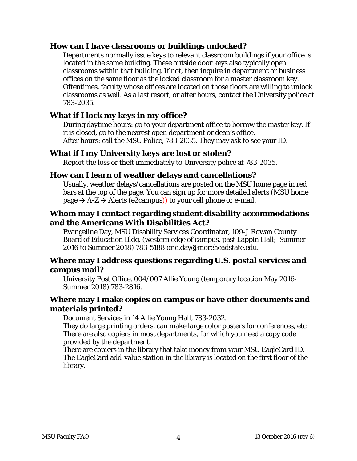#### **How can I have classrooms or buildings unlocked?**

Departments normally issue keys to relevant classroom buildings if your office is located in the same building. These outside door keys also typically open classrooms within that building. If not, then inquire in department or business offices on the same floor as the locked classroom for a master classroom key. Oftentimes, faculty whose offices are located on those floors are willing to unlock classrooms as well. As a last resort, or after hours, contact the University police at 783-2035.

#### **What if I lock my keys in my office?**

During daytime hours: go to your department office to borrow the master key. If it is closed, go to the nearest open department or dean's office. After hours: call the MSU Police, 783-2035. They may ask to see your ID.

#### **What if I my University keys are lost or stolen?**

Report the loss or theft immediately to University police at 783-2035.

#### **How can I learn of weather delays and cancellations?**

Usually, weather delays/cancellations are posted on the MSU home page in red bars at the top of the page. You can sign up for more detailed alerts (MSU home  $page \rightarrow A-Z \rightarrow$  Alerts (e2campus)) to your cell phone or e-mail.

## **Whom may I contact regarding student disability accommodations and the Americans With Disabilities Act?**

Evangeline Day, MSU Disability Services Coordinator, 109-J Rowan County Board of Education Bldg. (western edge of campus, past Lappin Hall; Summer 2016 to Summer 2018) 783-5188 or e.day@moreheadstate.edu.

#### **Where may I address questions regarding U.S. postal services and campus mail?**

University Post Office, 004/007 Allie Young (temporary location May 2016- Summer 2018) 783-2816.

#### **Where may I make copies on campus or have other documents and materials printed?**

Document Services in 14 Allie Young Hall, 783-2032.

They do large printing orders, can make large color posters for conferences, etc. There are also copiers in most departments, for which you need a copy code provided by the department.

There are copiers in the library that take money from your MSU EagleCard ID. The EagleCard add-value station in the library is located on the first floor of the library.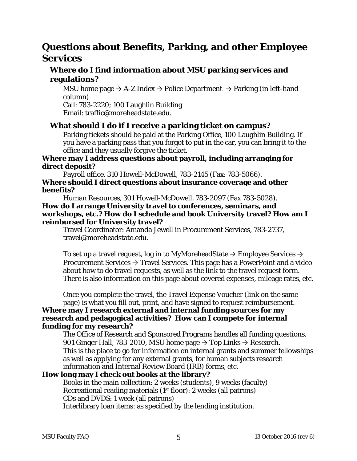## **Questions about Benefits, Parking, and other Employee Services**

## **Where do I find information about MSU parking services and regulations?**

MSU home page  $\rightarrow$  A-Z Index  $\rightarrow$  Police Department  $\rightarrow$  Parking (in left-hand column)

Call: 783-2220; 100 Laughlin Building Email: traffic@moreheadstate.edu.

#### **What should I do if I receive a parking ticket on campus?**

Parking tickets should be paid at the Parking Office, 100 Laughlin Building. If you have a parking pass that you forgot to put in the car, you can bring it to the office and they usually forgive the ticket.

#### **Where may I address questions about payroll, including arranging for direct deposit?**

Payroll office, 310 Howell-McDowell, 783-2145 (Fax: 783-5066).

#### **Where should I direct questions about insurance coverage and other benefits?**

Human Resources, 301 Howell-McDowell, 783-2097 (Fax 783-5028). **How do I arrange University travel to conferences, seminars, and workshops, etc.? How do I schedule and book University travel? How am I reimbursed for University travel?**

Travel Coordinator: Amanda Jewell in Procurement Services, 783-2737, travel@moreheadstate.edu.

To set up a travel request, log in to MyMoreheadState  $\rightarrow$  Employee Services  $\rightarrow$ Procurement Services  $\rightarrow$  Travel Services. This page has a PowerPoint and a video about how to do travel requests, as well as the link to the travel request form. There is also information on this page about covered expenses, mileage rates, etc.

Once you complete the travel, the Travel Expense Voucher (link on the same page) is what you fill out, print, and have signed to request reimbursement.

#### **Where may I research external and internal funding sources for my research and pedagogical activities? How can I compete for internal funding for my research?**

The Office of Research and Sponsored Programs handles all funding questions. 901 Ginger Hall, 783-2010, MSU home page  $\rightarrow$  Top Links  $\rightarrow$  Research. This is the place to go for information on internal grants and summer fellowships as well as applying for any external grants, for human subjects research information and Internal Review Board (IRB) forms, etc.

#### **How long may I check out books at the library?**

Books in the main collection: 2 weeks (students), 9 weeks (faculty) Recreational reading materials (1st floor): 2 weeks (all patrons) CDs and DVDS: 1 week (all patrons) Interlibrary loan items: as specified by the lending institution.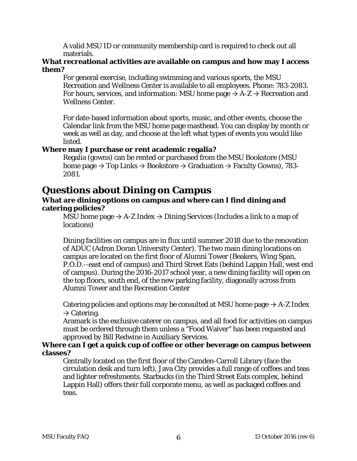A valid MSU ID or community membership card is required to check out all materials.

#### **What recreational activities are available on campus and how may I access them?**

For general exercise, including swimming and various sports, the MSU Recreation and Wellness Center is available to all employees. Phone: 783-2083. For hours, services, and information: MSU home page  $\rightarrow$  A-Z  $\rightarrow$  Recreation and Wellness Center.

For date-based information about sports, music, and other events, choose the Calendar link from the MSU home page masthead. You can display by month or week as well as day, and choose at the left what types of events you would like listed.

#### **Where may I purchase or rent academic regalia?**

Regalia (gowns) can be rented or purchased from the MSU Bookstore (MSU home page  $\rightarrow$  Top Links  $\rightarrow$  Bookstore  $\rightarrow$  Graduation  $\rightarrow$  Faculty Gowns), 783-2081.

## **Questions about Dining on Campus**

#### **What are dining options on campus and where can I find dining and catering policies?**

MSU home page  $\rightarrow$  A-Z Index  $\rightarrow$  Dining Services (Includes a link to a map of locations)

Dining facilities on campus are in flux until summer 2018 due to the renovation of ADUC (Adron Doran University Center). The two main dining locations on campus are located on the first floor of Alumni Tower (Beakers, Wing Span, P.O.D.--east end of campus) and Third Street Eats (behind Lappin Hall, west end of campus). During the 2016-2017 school year, a new dining facility will open on the top floors, south end, of the new parking facility, diagonally across from Alumni Tower and the Recreation Center

Catering policies and options may be consulted at MSU home page  $\rightarrow$  A-Z Index  $\rightarrow$  Catering.

Aramark is the exclusive caterer on campus, and all food for activities on campus must be ordered through them unless a "Food Waiver" has been requested and approved by Bill Redwine in Auxiliary Services.

#### **Where can I get a quick cup of coffee or other beverage on campus between classes?**

Centrally located on the first floor of the Camden-Carroll Library (face the circulation desk and turn left), Java City provides a full range of coffees and teas and lighter refreshments. Starbucks (in the Third Street Eats complex, behind Lappin Hall) offers their full corporate menu, as well as packaged coffees and teas.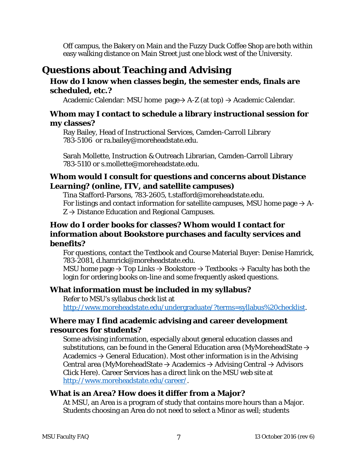Off campus, the Bakery on Main and the Fuzzy Duck Coffee Shop are both within easy walking distance on Main Street just one block west of the University.

## **Questions about Teaching and Advising**

## **How do I know when classes begin, the semester ends, finals are scheduled, etc.?**

Academic Calendar: MSU home page $\rightarrow$  A-Z (at top)  $\rightarrow$  Academic Calendar.

## **Whom may I contact to schedule a library instructional session for my classes?**

Ray Bailey, Head of Instructional Services, Camden-Carroll Library 783-5106 or ra.bailey@moreheadstate.edu.

Sarah Mollette, Instruction & Outreach Librarian, Camden-Carroll Library 783-5110 or s.mollette@moreheadstate.edu.

## **Whom would I consult for questions and concerns about Distance Learning? (online, ITV, and satellite campuses)**

Tina Stafford-Parsons, 783-2605, t.stafford@moreheadstate.edu. For listings and contact information for satellite campuses, MSU home page  $\rightarrow$  A- $Z \rightarrow$  Distance Education and Regional Campuses.

## **How do I order books for classes? Whom would I contact for information about Bookstore purchases and faculty services and benefits?**

For questions, contact the Textbook and Course Material Buyer: Denise Hamrick, 783-2081, d.hamrick@moreheadstate.edu.

MSU home page  $\rightarrow$  Top Links  $\rightarrow$  Bookstore  $\rightarrow$  Textbooks  $\rightarrow$  Faculty has both the login for ordering books on-line and some frequently asked questions.

## **What information must be included in my syllabus?**

Refer to MSU's syllabus check list at [http://www.moreheadstate.edu/undergraduate/?terms=syllabus%20checklist.](http://www.moreheadstate.edu/undergraduate/?terms=syllabus%20checklist)

## **Where may I find academic advising and career development resources for students?**

Some advising information, especially about general education classes and substitutions, can be found in the General Education area (MyMoreheadState  $\rightarrow$ Academics  $\rightarrow$  General Education). Most other information is in the Advising Central area (MyMoreheadState  $\rightarrow$  Academics  $\rightarrow$  Advising Central  $\rightarrow$  Advisors Click Here). Career Services has a direct link on the MSU web site at [http://www.moreheadstate.edu/career/.](http://www.moreheadstate.edu/career/)

#### **What is an Area? How does it differ from a Major?**

At MSU, an Area is a program of study that contains more hours than a Major. Students choosing an Area do not need to select a Minor as well; students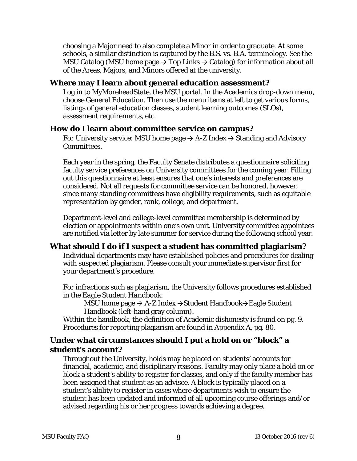choosing a Major need to also complete a Minor in order to graduate. At some schools, a similar distinction is captured by the B.S. vs. B.A. terminology. See the MSU Catalog (MSU home page  $\rightarrow$  Top Links  $\rightarrow$  Catalog) for information about all of the Areas, Majors, and Minors offered at the university.

#### **Where may I learn about general education assessment?**

Log in to MyMoreheadState, the MSU portal. In the Academics drop-down menu, choose General Education. Then use the menu items at left to get various forms, listings of general education classes, student learning outcomes (SLOs), assessment requirements, etc.

#### **How do I learn about committee service on campus?**

For University service: MSU home page  $\rightarrow$  A-Z Index  $\rightarrow$  Standing and Advisory Committees.

Each year in the spring, the Faculty Senate distributes a questionnaire soliciting faculty service preferences on University committees for the coming year. Filling out this questionnaire at least ensures that one's interests and preferences are considered. Not all requests for committee service can be honored, however, since many standing committees have eligibility requirements, such as equitable representation by gender, rank, college, and department.

Department-level and college-level committee membership is determined by election or appointments within one's own unit. University committee appointees are notified via letter by late summer for service during the following school year.

#### **What should I do if I suspect a student has committed plagiarism?**

Individual departments may have established policies and procedures for dealing with suspected plagiarism. Please consult your immediate supervisor first for your department's procedure.

For infractions such as plagiarism, the University follows procedures established in the *Eagle Student Handbook*:

MSU home page → A-Z Index →Student Handbook→Eagle Student Handbook (left-hand gray column).

Within the handbook, the definition of Academic dishonesty is found on pg. 9. Procedures for reporting plagiarism are found in Appendix A, pg. 80.

### **Under what circumstances should I put a hold on or "block" a student's account?**

Throughout the University, holds may be placed on students' accounts for financial, academic, and disciplinary reasons. Faculty may only place a hold on or block a student's ability to register for classes, and only if the faculty member has been assigned that student as an advisee. A block is typically placed on a student's ability to register in cases where departments wish to ensure the student has been updated and informed of all upcoming course offerings and/or advised regarding his or her progress towards achieving a degree.